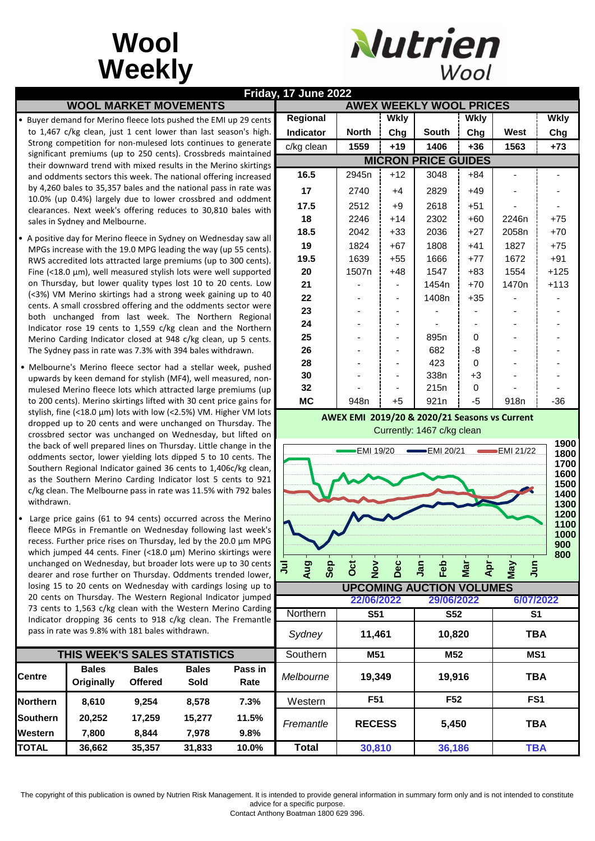## **Wool Weekly**



|                 | <b>WOOL MARKET MOVEMENTS</b>                                                                                                            |                                |                      |                 | Friday, 17 June 2022<br><b>AWEX WEEKLY WOOL PRICES</b>                     |                                       |                          |                  |                |                   |             |  |  |
|-----------------|-----------------------------------------------------------------------------------------------------------------------------------------|--------------------------------|----------------------|-----------------|----------------------------------------------------------------------------|---------------------------------------|--------------------------|------------------|----------------|-------------------|-------------|--|--|
|                 | Buyer demand for Merino fleece lots pushed the EMI up 29 cents                                                                          |                                |                      |                 | Regional                                                                   |                                       | <b>Wkly</b>              |                  | <b>Wkly</b>    |                   | <b>Wkly</b> |  |  |
|                 | to 1,467 c/kg clean, just 1 cent lower than last season's high.                                                                         |                                |                      |                 | Indicator                                                                  | <b>North</b>                          | Chg                      | South            | Chg            | West              | Chg         |  |  |
|                 | Strong competition for non-mulesed lots continues to generate                                                                           |                                |                      |                 | c/kg clean                                                                 | 1559                                  | $+19$                    | 1406             | $+36$          | 1563              | $+73$       |  |  |
|                 | significant premiums (up to 250 cents). Crossbreds maintained                                                                           |                                |                      |                 | <b>MICRON PRICE GUIDES</b>                                                 |                                       |                          |                  |                |                   |             |  |  |
|                 | their downward trend with mixed results in the Merino skirtings<br>and oddments sectors this week. The national offering increased      |                                |                      |                 | 16.5                                                                       | 2945n                                 | $+12$                    | 3048             | $+84$          |                   |             |  |  |
|                 | by 4,260 bales to 35,357 bales and the national pass in rate was                                                                        |                                |                      |                 | 17                                                                         | 2740                                  | $+4$                     | 2829             | $+49$          |                   |             |  |  |
|                 | 10.0% (up 0.4%) largely due to lower crossbred and oddment                                                                              |                                |                      |                 | 17.5                                                                       | 2512                                  |                          | 2618             | $+51$          |                   |             |  |  |
|                 | clearances. Next week's offering reduces to 30,810 bales with                                                                           |                                |                      |                 | 18                                                                         | 2246                                  | $+9$<br>$+14$            | 2302             | $+60$          | 2246n             | $+75$       |  |  |
|                 | sales in Sydney and Melbourne.                                                                                                          |                                |                      |                 | 18.5                                                                       | 2042                                  | $+33$                    | 2036             | $+27$          | 2058n             | $+70$       |  |  |
|                 | • A positive day for Merino fleece in Sydney on Wednesday saw all                                                                       |                                |                      |                 | 19                                                                         | 1824                                  | $+67$                    | 1808             | $+41$          | 1827              | $+75$       |  |  |
|                 | MPGs increase with the 19.0 MPG leading the way (up 55 cents).                                                                          |                                |                      |                 | 19.5                                                                       | 1639                                  | $+55$                    | 1666             | $+77$          | 1672              | $+91$       |  |  |
|                 | RWS accredited lots attracted large premiums (up to 300 cents).<br>Fine (<18.0 $\mu$ m), well measured stylish lots were well supported |                                |                      |                 | 20                                                                         | 1507n                                 | $+48$                    | 1547             | $+83$          | 1554              | $+125$      |  |  |
|                 | on Thursday, but lower quality types lost 10 to 20 cents. Low                                                                           |                                |                      |                 | 21                                                                         |                                       | $\overline{\phantom{a}}$ | 1454n            | $+70$          | 1470n             | $+113$      |  |  |
|                 | (<3%) VM Merino skirtings had a strong week gaining up to 40                                                                            |                                |                      |                 | 22                                                                         |                                       |                          | 1408n            | $+35$          |                   |             |  |  |
|                 | cents. A small crossbred offering and the oddments sector were                                                                          |                                |                      |                 | 23                                                                         |                                       |                          |                  |                |                   |             |  |  |
|                 | both unchanged from last week. The Northern Regional                                                                                    |                                |                      |                 | 24                                                                         |                                       |                          |                  |                |                   |             |  |  |
|                 | Indicator rose 19 cents to 1,559 c/kg clean and the Northern<br>Merino Carding Indicator closed at 948 c/kg clean, up 5 cents.          |                                |                      |                 | 25                                                                         |                                       |                          | 895 <sub>n</sub> | 0              |                   |             |  |  |
|                 | The Sydney pass in rate was 7.3% with 394 bales withdrawn.                                                                              |                                |                      |                 | 26                                                                         |                                       |                          | 682              | -8             |                   |             |  |  |
|                 |                                                                                                                                         |                                |                      |                 | 28                                                                         |                                       |                          | 423              | 0              |                   |             |  |  |
|                 | • Melbourne's Merino fleece sector had a stellar week, pushed<br>upwards by keen demand for stylish (MF4), well measured, non-          |                                |                      |                 | 30                                                                         |                                       |                          | 338n             | $+3$           |                   |             |  |  |
|                 | mulesed Merino fleece lots which attracted large premiums (up                                                                           |                                |                      |                 | 32                                                                         |                                       |                          | 215 <sub>n</sub> | 0              |                   |             |  |  |
|                 | to 200 cents). Merino skirtings lifted with 30 cent price gains for                                                                     |                                |                      |                 | <b>MC</b>                                                                  | 948n                                  | $+5$                     | 921 <sub>n</sub> | $-5$           | 918 <sub>n</sub>  | $-36$       |  |  |
|                 | stylish, fine (<18.0 µm) lots with low (<2.5%) VM. Higher VM lots                                                                       |                                |                      |                 | AWEX EMI 2019/20 & 2020/21 Seasons vs Current                              |                                       |                          |                  |                |                   |             |  |  |
|                 | dropped up to 20 cents and were unchanged on Thursday. The<br>crossbred sector was unchanged on Wednesday, but lifted on                |                                |                      |                 | Currently: 1467 c/kg clean                                                 |                                       |                          |                  |                |                   |             |  |  |
|                 | the back of well prepared lines on Thursday. Little change in the                                                                       |                                |                      |                 | 1900                                                                       |                                       |                          |                  |                |                   |             |  |  |
|                 | oddments sector, lower yielding lots dipped 5 to 10 cents. The                                                                          |                                |                      |                 | <b>EMI 19/20</b><br>$EMI$ 20/21<br>$EMI$ 21/22<br>1800                     |                                       |                          |                  |                |                   |             |  |  |
|                 | Southern Regional Indicator gained 36 cents to 1,406c/kg clean,                                                                         |                                |                      |                 | 1700<br>1600<br>1500<br>1400<br>1300<br>1200<br>1100<br>1000<br>900<br>800 |                                       |                          |                  |                |                   |             |  |  |
|                 | as the Southern Merino Carding Indicator lost 5 cents to 921                                                                            |                                |                      |                 |                                                                            |                                       |                          |                  |                |                   |             |  |  |
| withdrawn.      | c/kg clean. The Melbourne pass in rate was 11.5% with 792 bales                                                                         |                                |                      |                 |                                                                            |                                       |                          |                  |                |                   |             |  |  |
|                 |                                                                                                                                         |                                |                      |                 |                                                                            |                                       |                          |                  |                |                   |             |  |  |
|                 | • Large price gains (61 to 94 cents) occurred across the Merino                                                                         |                                |                      |                 |                                                                            |                                       |                          |                  |                |                   |             |  |  |
|                 | fleece MPGs in Fremantle on Wednesday following last week's<br>recess. Further price rises on Thursday, led by the 20.0 µm MPG          |                                |                      |                 |                                                                            |                                       |                          |                  |                |                   |             |  |  |
|                 | which jumped 44 cents. Finer (<18.0 µm) Merino skirtings were                                                                           |                                |                      |                 |                                                                            |                                       |                          |                  |                |                   |             |  |  |
|                 | unchanged on Wednesday, but broader lots were up to 30 cents                                                                            |                                |                      |                 | Aug<br>Sep<br>ョ                                                            | Oct<br>$\frac{5}{2}$                  | Dec                      | Feb<br>Jan       | Apr<br>Mar     | <b>Jun</b><br>VeW |             |  |  |
|                 | dearer and rose further on Thursday. Oddments trended lower,                                                                            |                                |                      |                 |                                                                            |                                       |                          |                  |                |                   |             |  |  |
|                 | losing 15 to 20 cents on Wednesday with cardings losing up to<br>20 cents on Thursday. The Western Regional Indicator jumped            |                                |                      |                 | <b>UPCOMING AUCTION VOLUMES</b>                                            |                                       |                          |                  |                |                   |             |  |  |
|                 | 73 cents to 1,563 c/kg clean with the Western Merino Carding                                                                            |                                |                      |                 | 22/06/2022<br>29/06/2022<br>6/07/2022                                      |                                       |                          |                  |                |                   |             |  |  |
|                 | Indicator dropping 36 cents to 918 c/kg clean. The Fremantle                                                                            |                                |                      |                 | Northern                                                                   | $\overline{\text{S}51}$<br><b>S52</b> |                          |                  | S <sub>1</sub> |                   |             |  |  |
|                 | pass in rate was 9.8% with 181 bales withdrawn.                                                                                         |                                |                      |                 | Sydney                                                                     | 11,461                                |                          | 10,820           |                | <b>TBA</b>        |             |  |  |
|                 |                                                                                                                                         |                                |                      |                 |                                                                            |                                       |                          |                  |                |                   |             |  |  |
|                 | THIS WEEK'S SALES STATISTICS                                                                                                            | Southern                       | M51                  |                 | M52                                                                        |                                       | MS1                      |                  |                |                   |             |  |  |
| <b>Centre</b>   | <b>Bales</b><br>Originally                                                                                                              | <b>Bales</b><br><b>Offered</b> | <b>Bales</b><br>Sold | Pass in<br>Rate | Melbourne                                                                  |                                       | 19,349                   |                  | 19,916         |                   | <b>TBA</b>  |  |  |
|                 |                                                                                                                                         |                                |                      |                 |                                                                            | F51                                   |                          | F52              |                | FS1               |             |  |  |
| <b>Northern</b> | 8,610                                                                                                                                   | 9,254                          | 8,578                | 7.3%            | Western                                                                    |                                       |                          |                  |                |                   |             |  |  |
| <b>Southern</b> | 20,252                                                                                                                                  | 17,259                         | 15,277               | 11.5%           | Fremantle                                                                  | <b>RECESS</b>                         | 5,450                    |                  | <b>TBA</b>     |                   |             |  |  |
| Western         | 7,800                                                                                                                                   | 8,844                          | 7,978                | 9.8%            |                                                                            |                                       |                          |                  |                |                   |             |  |  |
| <b>TOTAL</b>    | 36,662                                                                                                                                  | 35,357                         | 31,833               | 10.0%           | <b>Total</b>                                                               | 30,810                                |                          | 36,186           |                | <b>TBA</b>        |             |  |  |

The copyright of this publication is owned by Nutrien Risk Management. It is intended to provide general information in summary form only and is not intended to constitute advice for a specific purpose.